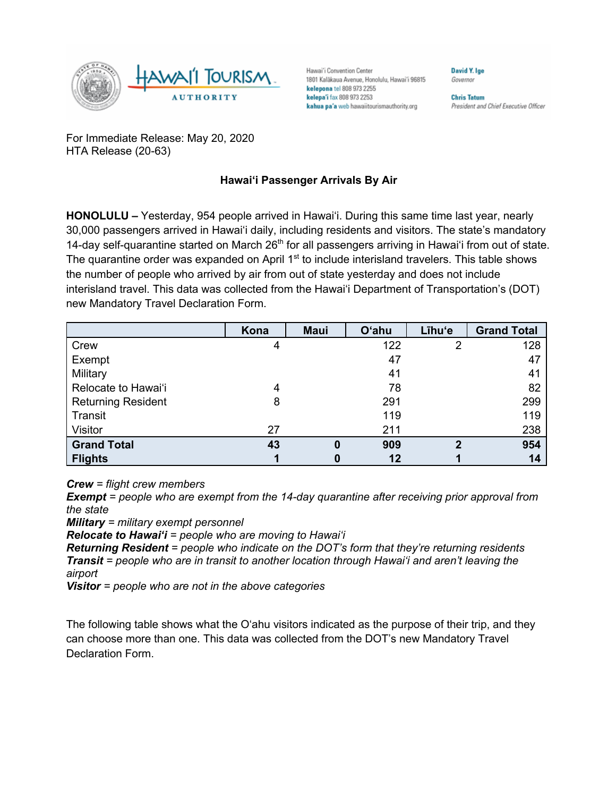

Hawai'i Convention Center 1801 Kalākaua Avenue, Honolulu, Hawai'i 96815 kelepona tel 808 973 2255 kelepa'i fax 808 973 2253 kahua pa'a web hawaiitourismauthority.org

**Chris Tatum** President and Chief Executive Officer

**David V Ine** 

Governor

For Immediate Release: May 20, 2020 HTA Release (20-63)

## **Hawai'i Passenger Arrivals By Air**

**HONOLULU –** Yesterday, 954 people arrived in Hawai'i. During this same time last year, nearly 30,000 passengers arrived in Hawai'i daily, including residents and visitors. The state's mandatory 14-day self-quarantine started on March 26<sup>th</sup> for all passengers arriving in Hawai'i from out of state. The quarantine order was expanded on April 1<sup>st</sup> to include interisland travelers. This table shows the number of people who arrived by air from out of state yesterday and does not include interisland travel. This data was collected from the Hawai'i Department of Transportation's (DOT) new Mandatory Travel Declaration Form.

|                           | Kona | <b>Maui</b> | <b>O'ahu</b> | Līhu'e | <b>Grand Total</b> |
|---------------------------|------|-------------|--------------|--------|--------------------|
| Crew                      | 4    |             | 122          | 2      | 128                |
| Exempt                    |      |             | 47           |        | 47                 |
| Military                  |      |             | 41           |        | 41                 |
| Relocate to Hawai'i       | 4    |             | 78           |        | 82                 |
| <b>Returning Resident</b> | 8    |             | 291          |        | 299                |
| Transit                   |      |             | 119          |        | 119                |
| Visitor                   | 27   |             | 211          |        | 238                |
| <b>Grand Total</b>        | 43   | 0           | 909          | າ      | 954                |
| <b>Flights</b>            |      | 0           | 12           |        | 14                 |

*Crew = flight crew members*

*Exempt = people who are exempt from the 14-day quarantine after receiving prior approval from the state*

*Military = military exempt personnel*

*Relocate to Hawai'i = people who are moving to Hawai'i*

*Returning Resident = people who indicate on the DOT's form that they're returning residents Transit = people who are in transit to another location through Hawai'i and aren't leaving the airport*

*Visitor = people who are not in the above categories*

The following table shows what the O'ahu visitors indicated as the purpose of their trip, and they can choose more than one. This data was collected from the DOT's new Mandatory Travel Declaration Form.